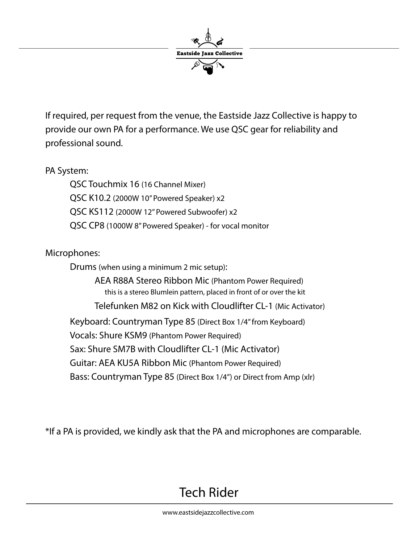

If required, per request from the venue, the Eastside Jazz Collective is happy to provide our own PA for a performance. We use QSC gear for reliability and professional sound.

PA System:

 QSC Touchmix 16 (16 Channel Mixer) QSC K10.2 (2000W 10" Powered Speaker) x2 QSC KS112 (2000W 12" Powered Subwoofer) x2 QSC CP8 (1000W 8" Powered Speaker) - for vocal monitor

Microphones:

Drums (when using a minimum 2 mic setup):

 AEA R88A Stereo Ribbon Mic (Phantom Power Required) this is a stereo Blumlein pattern, placed in front of or over the kit Telefunken M82 on Kick with Cloudlifter CL-1 (Mic Activator) Keyboard: Countryman Type 85 (Direct Box 1/4" from Keyboard) Vocals: Shure KSM9 (Phantom Power Required) Sax: Shure SM7B with Cloudlifter CL-1 (Mic Activator) Guitar: AEA KU5A Ribbon Mic (Phantom Power Required) Bass: Countryman Type 85 (Direct Box 1/4") or Direct from Amp (xlr)

\*If a PA is provided, we kindly ask that the PA and microphones are comparable.

### Tech Rider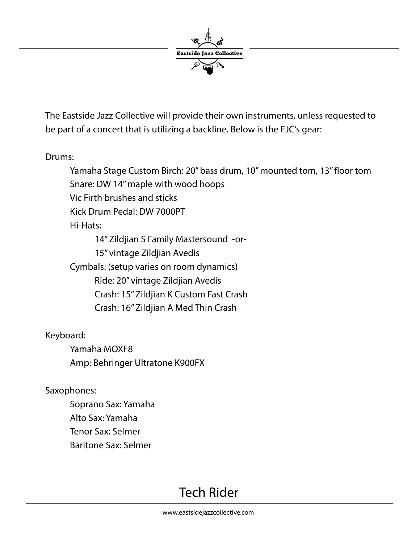

The Eastside Jazz Collective will provide their own instruments, unless requested to be part of a concert that is utilizing a backline. Below is the EJC's gear:

Drums:

Yamaha Stage Custom Birch: 20" bass drum, 10" mounted tom, 13" floor tom Snare: DW 14" maple with wood hoops Vic Firth brushes and sticks Kick Drum Pedal: DW 7000PT Hi-Hats: 14" Zildjian S Family Mastersound -or- 15" vintage Zildjian Avedis

 Cymbals: (setup varies on room dynamics) Ride: 20" vintage Zildjian Avedis Crash: 15" Zildjian K Custom Fast Crash Crash: 16" Zildjian A Med Thin Crash

Keyboard:

 Yamaha MOXF8 Amp: Behringer Ultratone K900FX

Saxophones:

 Soprano Sax: Yamaha Alto Sax: Yamaha Tenor Sax: Selmer Baritone Sax: Selmer

# Tech Rider